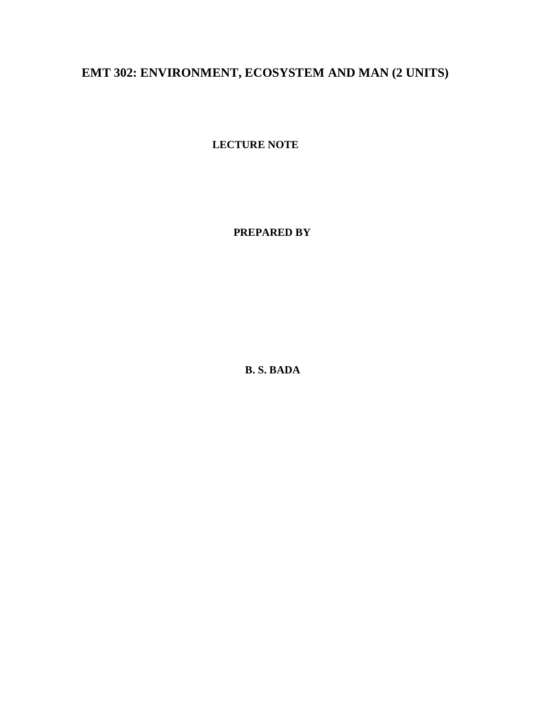# **EMT 302: ENVIRONMENT, ECOSYSTEM AND MAN (2 UNITS)**

**LECTURE NOTE**

**PREPARED BY**

**B. S. BADA**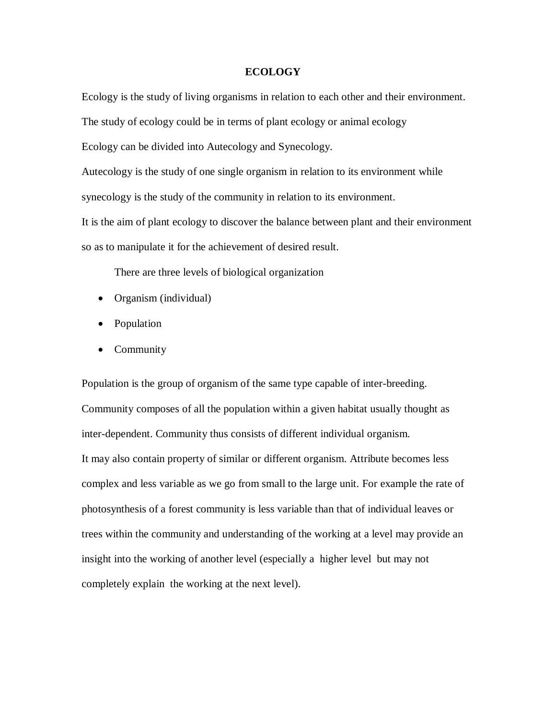#### **ECOLOGY**

Ecology is the study of living organisms in relation to each other and their environment.

The study of ecology could be in terms of plant ecology or animal ecology

Ecology can be divided into Autecology and Synecology.

Autecology is the study of one single organism in relation to its environment while synecology is the study of the community in relation to its environment.

It is the aim of plant ecology to discover the balance between plant and their environment so as to manipulate it for the achievement of desired result.

There are three levels of biological organization

- Organism (individual)
- Population
- Community

Population is the group of organism of the same type capable of inter-breeding. Community composes of all the population within a given habitat usually thought as inter-dependent. Community thus consists of different individual organism. It may also contain property of similar or different organism. Attribute becomes less complex and less variable as we go from small to the large unit. For example the rate of photosynthesis of a forest community is less variable than that of individual leaves or trees within the community and understanding of the working at a level may provide an insight into the working of another level (especially a higher level but may not completely explain the working at the next level).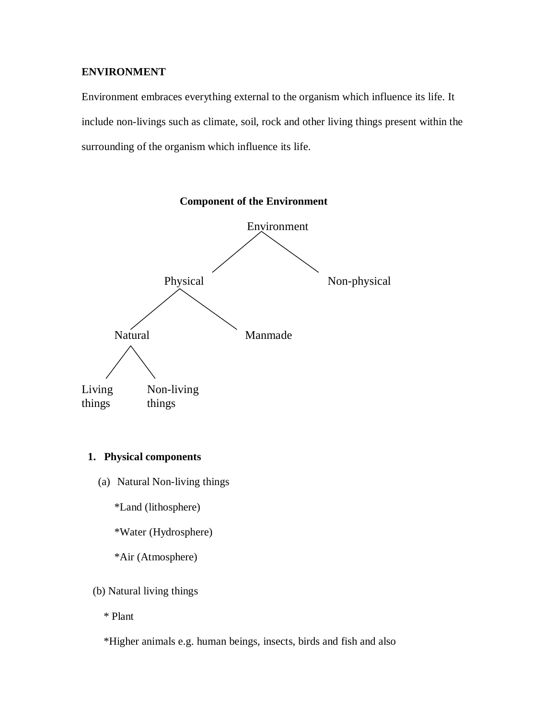# **ENVIRONMENT**

Environment embraces everything external to the organism which influence its life. It include non-livings such as climate, soil, rock and other living things present within the surrounding of the organism which influence its life.



# **1. Physical components**

(a) Natural Non-living things

\*Land (lithosphere)

\*Water (Hydrosphere)

\*Air (Atmosphere)

# (b) Natural living things

\* Plant

\*Higher animals e.g. human beings, insects, birds and fish and also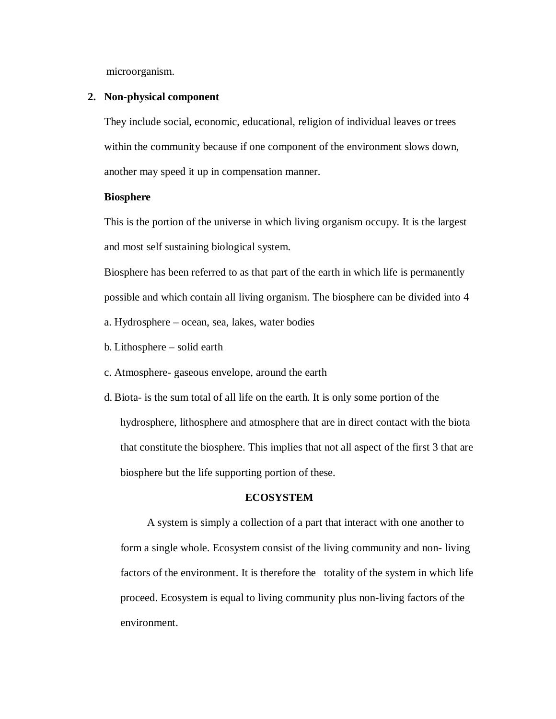microorganism.

#### **2. Non-physical component**

They include social, economic, educational, religion of individual leaves or trees within the community because if one component of the environment slows down, another may speed it up in compensation manner.

#### **Biosphere**

This is the portion of the universe in which living organism occupy. It is the largest and most self sustaining biological system.

Biosphere has been referred to as that part of the earth in which life is permanently possible and which contain all living organism. The biosphere can be divided into 4 a. Hydrosphere – ocean, sea, lakes, water bodies

- b. Lithosphere solid earth
- c. Atmosphere- gaseous envelope, around the earth
- d. Biota- is the sum total of all life on the earth. It is only some portion of the hydrosphere, lithosphere and atmosphere that are in direct contact with the biota that constitute the biosphere. This implies that not all aspect of the first 3 that are biosphere but the life supporting portion of these.

## **ECOSYSTEM**

A system is simply a collection of a part that interact with one another to form a single whole. Ecosystem consist of the living community and non- living factors of the environment. It is therefore the totality of the system in which life proceed. Ecosystem is equal to living community plus non-living factors of the environment.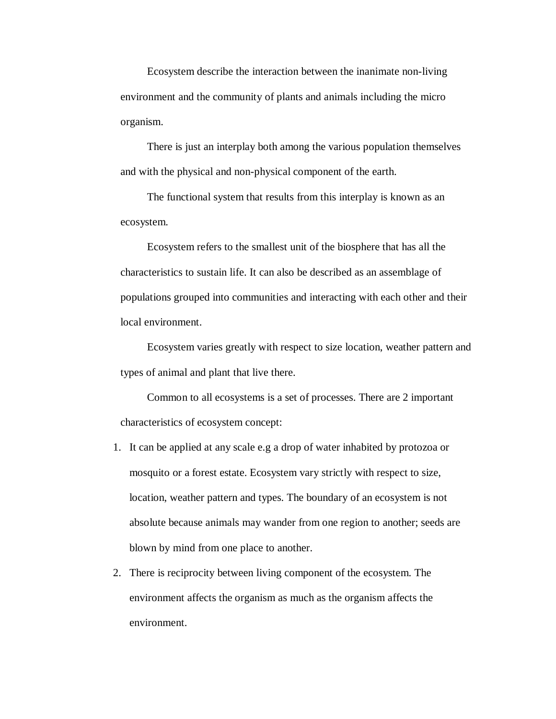Ecosystem describe the interaction between the inanimate non-living environment and the community of plants and animals including the micro organism.

There is just an interplay both among the various population themselves and with the physical and non-physical component of the earth.

The functional system that results from this interplay is known as an ecosystem.

Ecosystem refers to the smallest unit of the biosphere that has all the characteristics to sustain life. It can also be described as an assemblage of populations grouped into communities and interacting with each other and their local environment.

Ecosystem varies greatly with respect to size location, weather pattern and types of animal and plant that live there.

Common to all ecosystems is a set of processes. There are 2 important characteristics of ecosystem concept:

- 1. It can be applied at any scale e.g a drop of water inhabited by protozoa or mosquito or a forest estate. Ecosystem vary strictly with respect to size, location, weather pattern and types. The boundary of an ecosystem is not absolute because animals may wander from one region to another; seeds are blown by mind from one place to another.
- 2. There is reciprocity between living component of the ecosystem. The environment affects the organism as much as the organism affects the environment.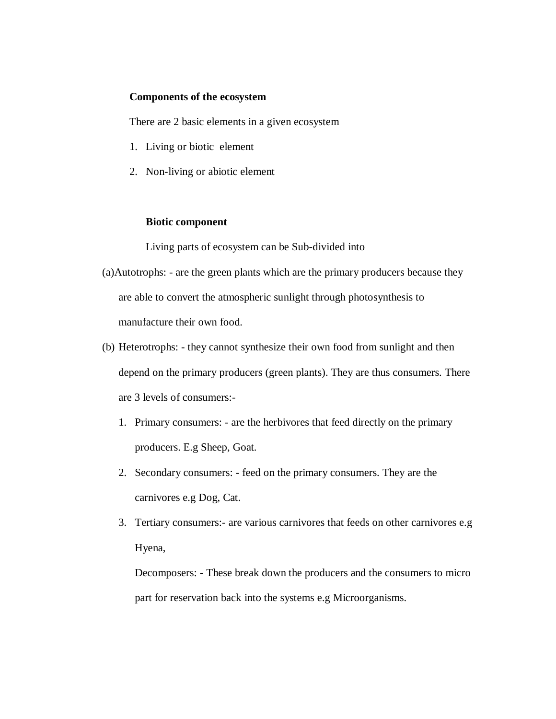#### **Components of the ecosystem**

There are 2 basic elements in a given ecosystem

- 1. Living or biotic element
- 2. Non-living or abiotic element

#### **Biotic component**

Living parts of ecosystem can be Sub-divided into

- (a)Autotrophs: are the green plants which are the primary producers because they are able to convert the atmospheric sunlight through photosynthesis to manufacture their own food.
- (b) Heterotrophs: they cannot synthesize their own food from sunlight and then depend on the primary producers (green plants). They are thus consumers. There are 3 levels of consumers:-
	- 1. Primary consumers: are the herbivores that feed directly on the primary producers. E.g Sheep, Goat.
	- 2. Secondary consumers: feed on the primary consumers. They are the carnivores e.g Dog, Cat.
	- 3. Tertiary consumers:- are various carnivores that feeds on other carnivores e.g Hyena,

Decomposers: - These break down the producers and the consumers to micro part for reservation back into the systems e.g Microorganisms.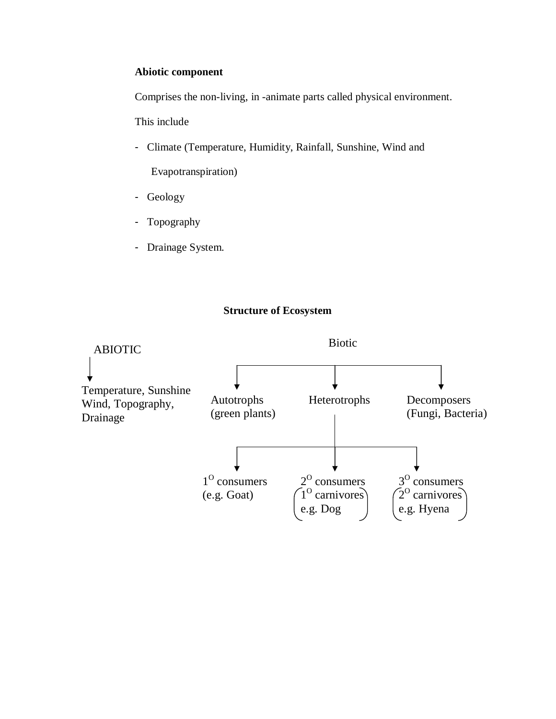# **Abiotic component**

Comprises the non-living, in -animate parts called physical environment.

This include

- Climate (Temperature, Humidity, Rainfall, Sunshine, Wind and

Evapotranspiration)

- Geology
- Topography
- Drainage System.

# **Structure of Ecosystem**

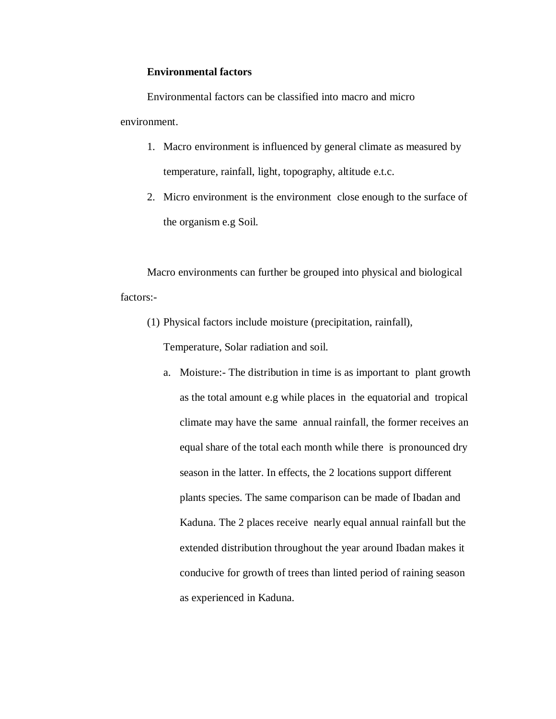#### **Environmental factors**

Environmental factors can be classified into macro and micro environment.

- 1. Macro environment is influenced by general climate as measured by temperature, rainfall, light, topography, altitude e.t.c.
- 2. Micro environment is the environment close enough to the surface of the organism e.g Soil.

Macro environments can further be grouped into physical and biological factors:-

(1) Physical factors include moisture (precipitation, rainfall),

Temperature, Solar radiation and soil.

a. Moisture:- The distribution in time is as important to plant growth as the total amount e.g while places in the equatorial and tropical climate may have the same annual rainfall, the former receives an equal share of the total each month while there is pronounced dry season in the latter. In effects, the 2 locations support different plants species. The same comparison can be made of Ibadan and Kaduna. The 2 places receive nearly equal annual rainfall but the extended distribution throughout the year around Ibadan makes it conducive for growth of trees than linted period of raining season as experienced in Kaduna.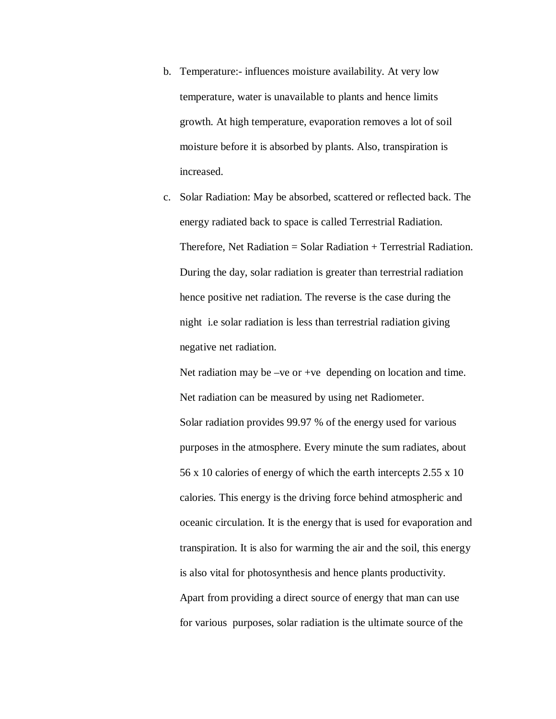- b. Temperature:- influences moisture availability. At very low temperature, water is unavailable to plants and hence limits growth. At high temperature, evaporation removes a lot of soil moisture before it is absorbed by plants. Also, transpiration is increased.
- c. Solar Radiation: May be absorbed, scattered or reflected back. The energy radiated back to space is called Terrestrial Radiation. Therefore, Net Radiation  $=$  Solar Radiation  $+$  Terrestrial Radiation. During the day, solar radiation is greater than terrestrial radiation hence positive net radiation. The reverse is the case during the night i.e solar radiation is less than terrestrial radiation giving negative net radiation.

Net radiation may be –ve or +ve depending on location and time. Net radiation can be measured by using net Radiometer. Solar radiation provides 99.97 % of the energy used for various purposes in the atmosphere. Every minute the sum radiates, about 56 x 10 calories of energy of which the earth intercepts 2.55 x 10 calories. This energy is the driving force behind atmospheric and oceanic circulation. It is the energy that is used for evaporation and transpiration. It is also for warming the air and the soil, this energy is also vital for photosynthesis and hence plants productivity. Apart from providing a direct source of energy that man can use for various purposes, solar radiation is the ultimate source of the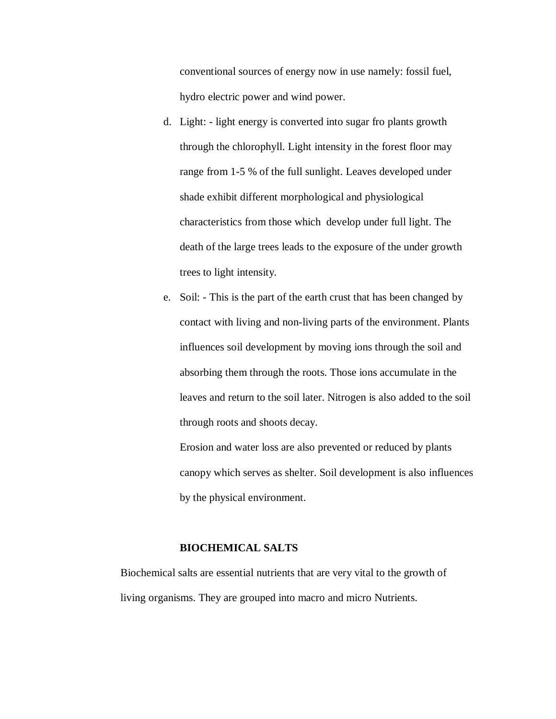conventional sources of energy now in use namely: fossil fuel, hydro electric power and wind power.

- d. Light: light energy is converted into sugar fro plants growth through the chlorophyll. Light intensity in the forest floor may range from 1-5 % of the full sunlight. Leaves developed under shade exhibit different morphological and physiological characteristics from those which develop under full light. The death of the large trees leads to the exposure of the under growth trees to light intensity.
- e. Soil: This is the part of the earth crust that has been changed by contact with living and non-living parts of the environment. Plants influences soil development by moving ions through the soil and absorbing them through the roots. Those ions accumulate in the leaves and return to the soil later. Nitrogen is also added to the soil through roots and shoots decay.

Erosion and water loss are also prevented or reduced by plants canopy which serves as shelter. Soil development is also influences by the physical environment.

#### **BIOCHEMICAL SALTS**

Biochemical salts are essential nutrients that are very vital to the growth of living organisms. They are grouped into macro and micro Nutrients.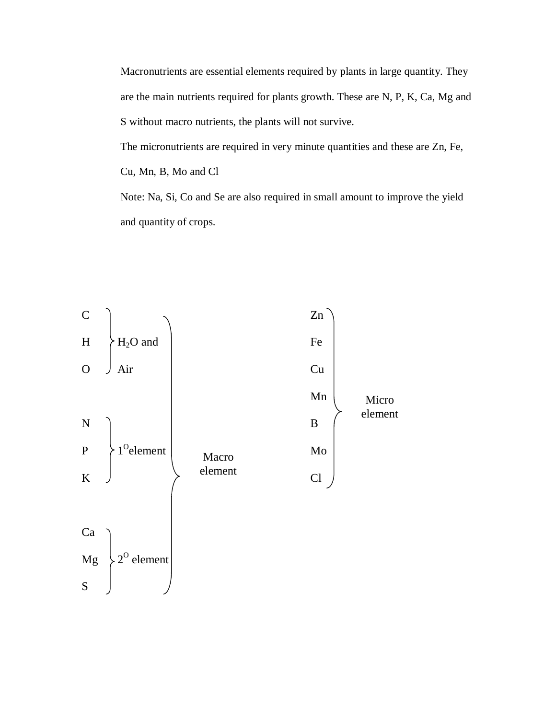Macronutrients are essential elements required by plants in large quantity. They are the main nutrients required for plants growth. These are N, P, K, Ca, Mg and S without macro nutrients, the plants will not survive.

The micronutrients are required in very minute quantities and these are Zn, Fe, Cu, Mn, B, Mo and Cl Note: Na, Si, Co and Se are also required in small amount to improve the yield

and quantity of crops.

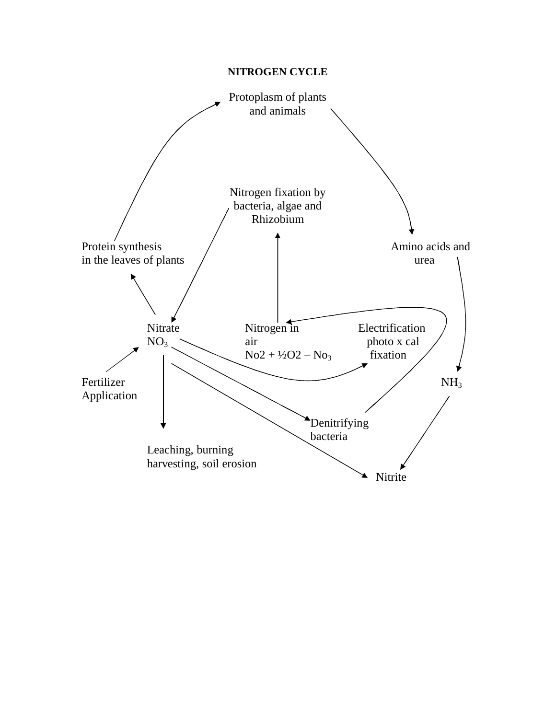# **NITROGEN CYCLE**

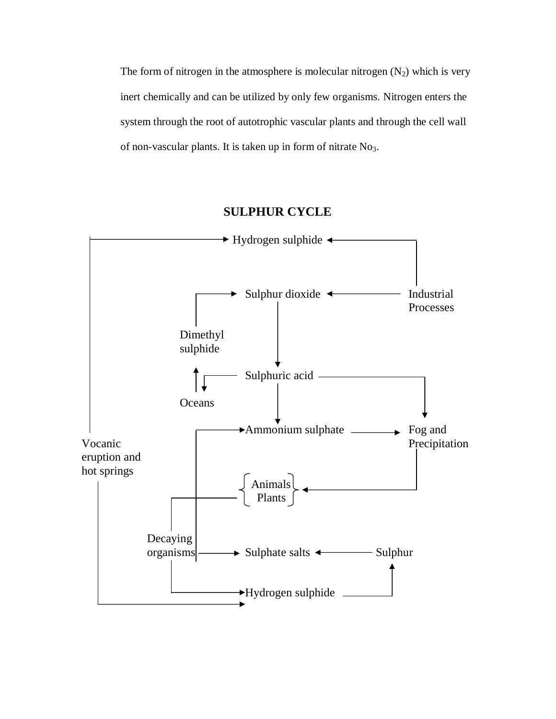The form of nitrogen in the atmosphere is molecular nitrogen  $(N_2)$  which is very inert chemically and can be utilized by only few organisms. Nitrogen enters the system through the root of autotrophic vascular plants and through the cell wall of non-vascular plants. It is taken up in form of nitrate No3.

# **SULPHUR CYCLE**

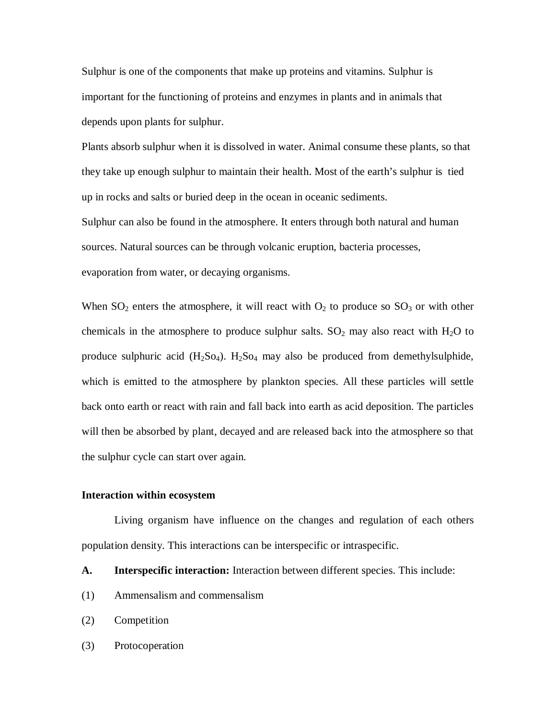Sulphur is one of the components that make up proteins and vitamins. Sulphur is important for the functioning of proteins and enzymes in plants and in animals that depends upon plants for sulphur.

Plants absorb sulphur when it is dissolved in water. Animal consume these plants, so that they take up enough sulphur to maintain their health. Most of the earth's sulphur is tied up in rocks and salts or buried deep in the ocean in oceanic sediments.

Sulphur can also be found in the atmosphere. It enters through both natural and human sources. Natural sources can be through volcanic eruption, bacteria processes, evaporation from water, or decaying organisms.

When  $SO_2$  enters the atmosphere, it will react with  $O_2$  to produce so  $SO_3$  or with other chemicals in the atmosphere to produce sulphur salts.  $SO_2$  may also react with  $H_2O$  to produce sulphuric acid  $(H_2SO_4)$ .  $H_2SO_4$  may also be produced from demethylsulphide, which is emitted to the atmosphere by plankton species. All these particles will settle back onto earth or react with rain and fall back into earth as acid deposition. The particles will then be absorbed by plant, decayed and are released back into the atmosphere so that the sulphur cycle can start over again.

#### **Interaction within ecosystem**

Living organism have influence on the changes and regulation of each others population density. This interactions can be interspecific or intraspecific.

- **A. Interspecific interaction:** Interaction between different species. This include:
- (1) Ammensalism and commensalism
- (2) Competition
- (3) Protocoperation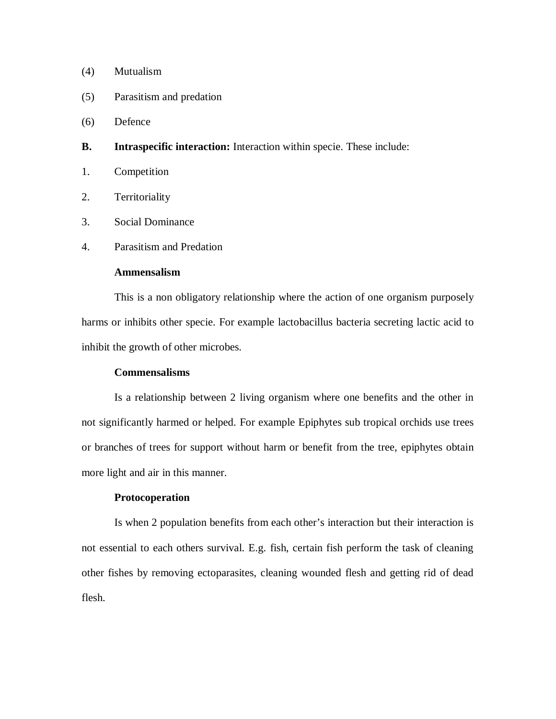# (4) Mutualism

- (5) Parasitism and predation
- (6) Defence
- **B. Intraspecific interaction:** Interaction within specie. These include:
- 1. Competition
- 2. Territoriality
- 3. Social Dominance
- 4. Parasitism and Predation

# **Ammensalism**

This is a non obligatory relationship where the action of one organism purposely harms or inhibits other specie. For example lactobacillus bacteria secreting lactic acid to inhibit the growth of other microbes.

#### **Commensalisms**

Is a relationship between 2 living organism where one benefits and the other in not significantly harmed or helped. For example Epiphytes sub tropical orchids use trees or branches of trees for support without harm or benefit from the tree, epiphytes obtain more light and air in this manner.

#### **Protocoperation**

Is when 2 population benefits from each other's interaction but their interaction is not essential to each others survival. E.g. fish, certain fish perform the task of cleaning other fishes by removing ectoparasites, cleaning wounded flesh and getting rid of dead flesh.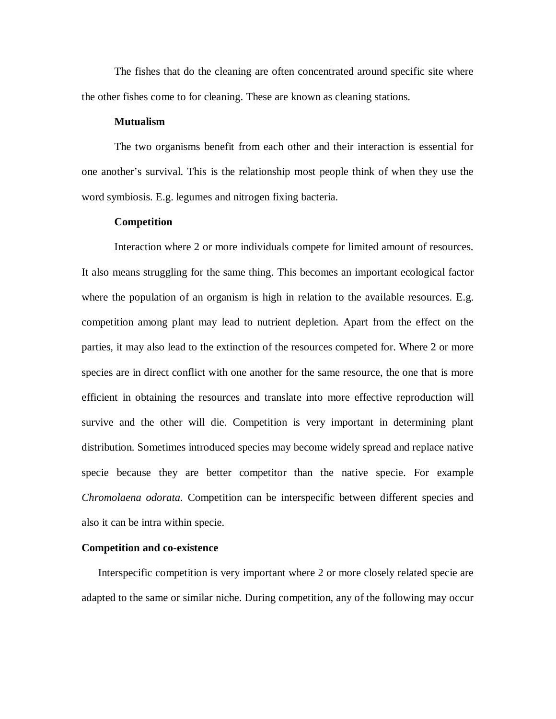The fishes that do the cleaning are often concentrated around specific site where the other fishes come to for cleaning. These are known as cleaning stations.

#### **Mutualism**

The two organisms benefit from each other and their interaction is essential for one another's survival. This is the relationship most people think of when they use the word symbiosis. E.g. legumes and nitrogen fixing bacteria.

#### **Competition**

Interaction where 2 or more individuals compete for limited amount of resources. It also means struggling for the same thing. This becomes an important ecological factor where the population of an organism is high in relation to the available resources. E.g. competition among plant may lead to nutrient depletion. Apart from the effect on the parties, it may also lead to the extinction of the resources competed for. Where 2 or more species are in direct conflict with one another for the same resource, the one that is more efficient in obtaining the resources and translate into more effective reproduction will survive and the other will die. Competition is very important in determining plant distribution. Sometimes introduced species may become widely spread and replace native specie because they are better competitor than the native specie. For example *Chromolaena odorata.* Competition can be interspecific between different species and also it can be intra within specie.

#### **Competition and co-existence**

Interspecific competition is very important where 2 or more closely related specie are adapted to the same or similar niche. During competition, any of the following may occur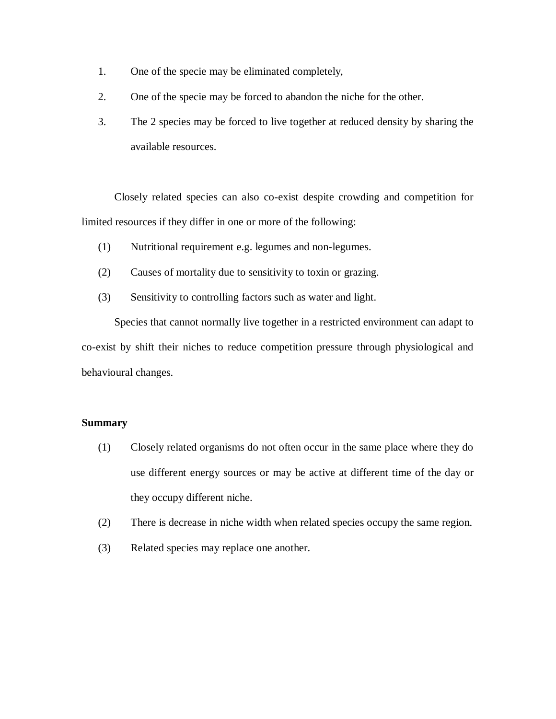- 1. One of the specie may be eliminated completely,
- 2. One of the specie may be forced to abandon the niche for the other.
- 3. The 2 species may be forced to live together at reduced density by sharing the available resources.

Closely related species can also co-exist despite crowding and competition for limited resources if they differ in one or more of the following:

- (1) Nutritional requirement e.g. legumes and non-legumes.
- (2) Causes of mortality due to sensitivity to toxin or grazing.
- (3) Sensitivity to controlling factors such as water and light.

Species that cannot normally live together in a restricted environment can adapt to co-exist by shift their niches to reduce competition pressure through physiological and behavioural changes.

# **Summary**

- (1) Closely related organisms do not often occur in the same place where they do use different energy sources or may be active at different time of the day or they occupy different niche.
- (2) There is decrease in niche width when related species occupy the same region.
- (3) Related species may replace one another.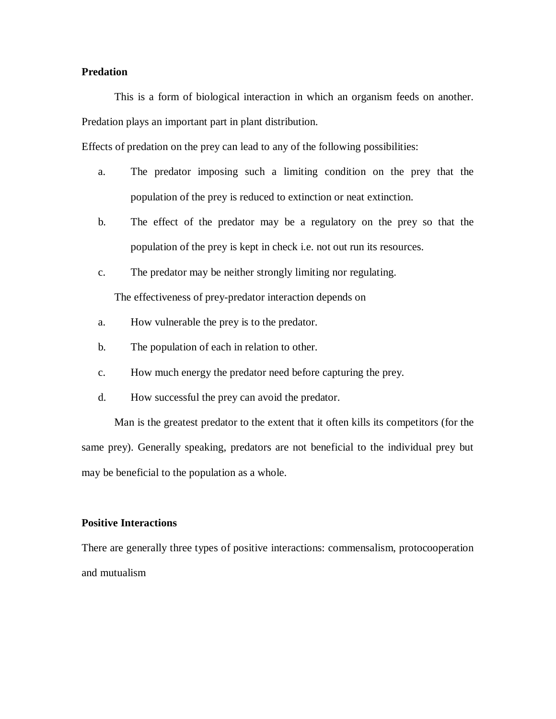# **Predation**

This is a form of biological interaction in which an organism feeds on another. Predation plays an important part in plant distribution.

Effects of predation on the prey can lead to any of the following possibilities:

- a. The predator imposing such a limiting condition on the prey that the population of the prey is reduced to extinction or neat extinction.
- b. The effect of the predator may be a regulatory on the prey so that the population of the prey is kept in check i.e. not out run its resources.
- c. The predator may be neither strongly limiting nor regulating.

The effectiveness of prey-predator interaction depends on

- a. How vulnerable the prey is to the predator.
- b. The population of each in relation to other.
- c. How much energy the predator need before capturing the prey.
- d. How successful the prey can avoid the predator.

Man is the greatest predator to the extent that it often kills its competitors (for the same prey). Generally speaking, predators are not beneficial to the individual prey but may be beneficial to the population as a whole.

#### **Positive Interactions**

There are generally three types of positive interactions: commensalism, protocooperation and mutualism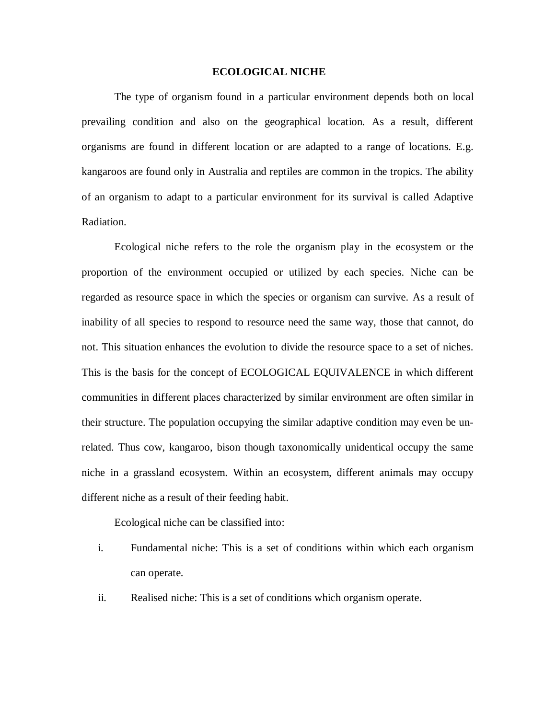#### **ECOLOGICAL NICHE**

The type of organism found in a particular environment depends both on local prevailing condition and also on the geographical location. As a result, different organisms are found in different location or are adapted to a range of locations. E.g. kangaroos are found only in Australia and reptiles are common in the tropics. The ability of an organism to adapt to a particular environment for its survival is called Adaptive Radiation.

Ecological niche refers to the role the organism play in the ecosystem or the proportion of the environment occupied or utilized by each species. Niche can be regarded as resource space in which the species or organism can survive. As a result of inability of all species to respond to resource need the same way, those that cannot, do not. This situation enhances the evolution to divide the resource space to a set of niches. This is the basis for the concept of ECOLOGICAL EQUIVALENCE in which different communities in different places characterized by similar environment are often similar in their structure. The population occupying the similar adaptive condition may even be unrelated. Thus cow, kangaroo, bison though taxonomically unidentical occupy the same niche in a grassland ecosystem. Within an ecosystem, different animals may occupy different niche as a result of their feeding habit.

Ecological niche can be classified into:

- i. Fundamental niche: This is a set of conditions within which each organism can operate.
- ii. Realised niche: This is a set of conditions which organism operate.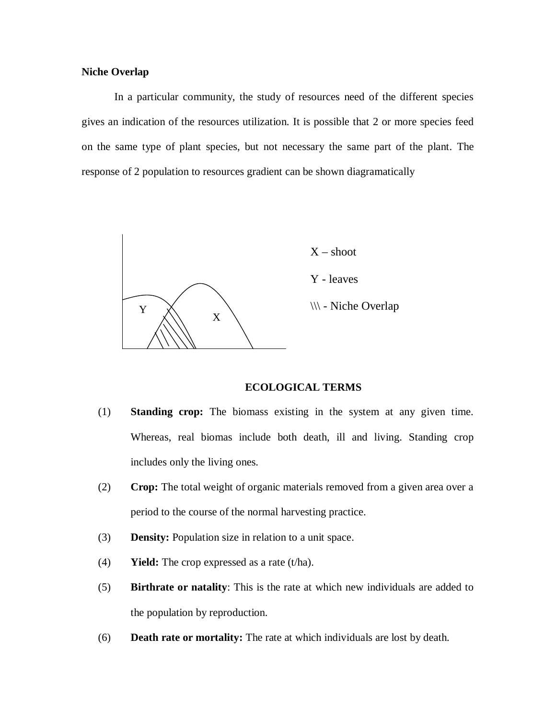#### **Niche Overlap**

In a particular community, the study of resources need of the different species gives an indication of the resources utilization. It is possible that 2 or more species feed on the same type of plant species, but not necessary the same part of the plant. The response of 2 population to resources gradient can be shown diagramatically



#### **ECOLOGICAL TERMS**

- (1) **Standing crop:** The biomass existing in the system at any given time. Whereas, real biomas include both death, ill and living. Standing crop includes only the living ones.
- (2) **Crop:** The total weight of organic materials removed from a given area over a period to the course of the normal harvesting practice.
- (3) **Density:** Population size in relation to a unit space.
- (4) **Yield:** The crop expressed as a rate (t/ha).
- (5) **Birthrate or natality**: This is the rate at which new individuals are added to the population by reproduction.
- (6) **Death rate or mortality:** The rate at which individuals are lost by death.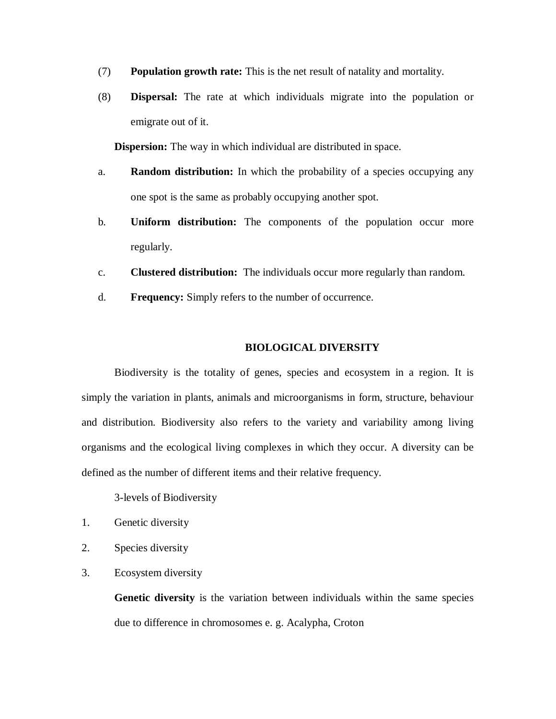- (7) **Population growth rate:** This is the net result of natality and mortality.
- (8) **Dispersal:** The rate at which individuals migrate into the population or emigrate out of it.

**Dispersion:** The way in which individual are distributed in space.

- a. **Random distribution:** In which the probability of a species occupying any one spot is the same as probably occupying another spot.
- b. **Uniform distribution:** The components of the population occur more regularly.
- c. **Clustered distribution:** The individuals occur more regularly than random.
- d. **Frequency:** Simply refers to the number of occurrence.

#### **BIOLOGICAL DIVERSITY**

Biodiversity is the totality of genes, species and ecosystem in a region. It is simply the variation in plants, animals and microorganisms in form, structure, behaviour and distribution. Biodiversity also refers to the variety and variability among living organisms and the ecological living complexes in which they occur. A diversity can be defined as the number of different items and their relative frequency.

3-levels of Biodiversity

- 1. Genetic diversity
- 2. Species diversity
- 3. Ecosystem diversity

**Genetic diversity** is the variation between individuals within the same species due to difference in chromosomes e. g. Acalypha, Croton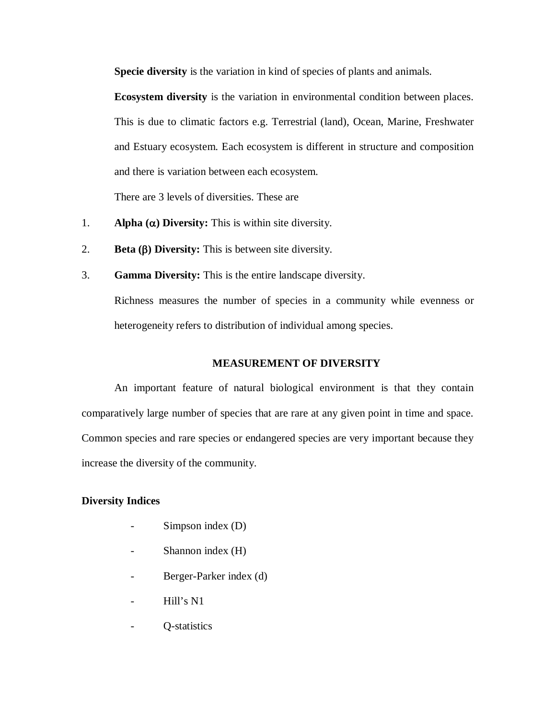**Specie diversity** is the variation in kind of species of plants and animals.

**Ecosystem diversity** is the variation in environmental condition between places. This is due to climatic factors e.g. Terrestrial (land), Ocean, Marine, Freshwater and Estuary ecosystem. Each ecosystem is different in structure and composition and there is variation between each ecosystem.

There are 3 levels of diversities. These are

- 1. **Alpha (** $\alpha$ **) Diversity:** This is within site diversity.
- 2. **Beta () Diversity:** This is between site diversity.
- 3. **Gamma Diversity:** This is the entire landscape diversity.

Richness measures the number of species in a community while evenness or heterogeneity refers to distribution of individual among species.

#### **MEASUREMENT OF DIVERSITY**

An important feature of natural biological environment is that they contain comparatively large number of species that are rare at any given point in time and space. Common species and rare species or endangered species are very important because they increase the diversity of the community.

#### **Diversity Indices**

- $Simpson$  index  $(D)$
- Shannon index (H)
- Berger-Parker index (d)
- Hill's N1
- Q-statistics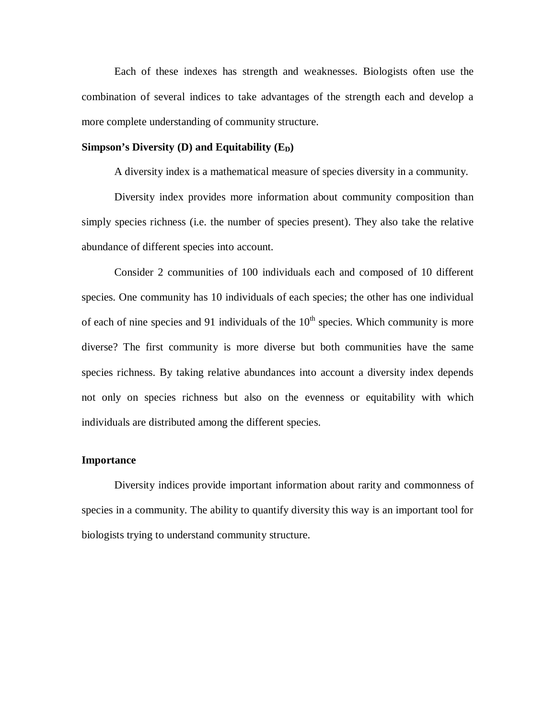Each of these indexes has strength and weaknesses. Biologists often use the combination of several indices to take advantages of the strength each and develop a more complete understanding of community structure.

#### **Simpson's Diversity (D) and Equitability**  $(E_D)$

A diversity index is a mathematical measure of species diversity in a community.

Diversity index provides more information about community composition than simply species richness (i.e. the number of species present). They also take the relative abundance of different species into account.

Consider 2 communities of 100 individuals each and composed of 10 different species. One community has 10 individuals of each species; the other has one individual of each of nine species and 91 individuals of the  $10<sup>th</sup>$  species. Which community is more diverse? The first community is more diverse but both communities have the same species richness. By taking relative abundances into account a diversity index depends not only on species richness but also on the evenness or equitability with which individuals are distributed among the different species.

#### **Importance**

Diversity indices provide important information about rarity and commonness of species in a community. The ability to quantify diversity this way is an important tool for biologists trying to understand community structure.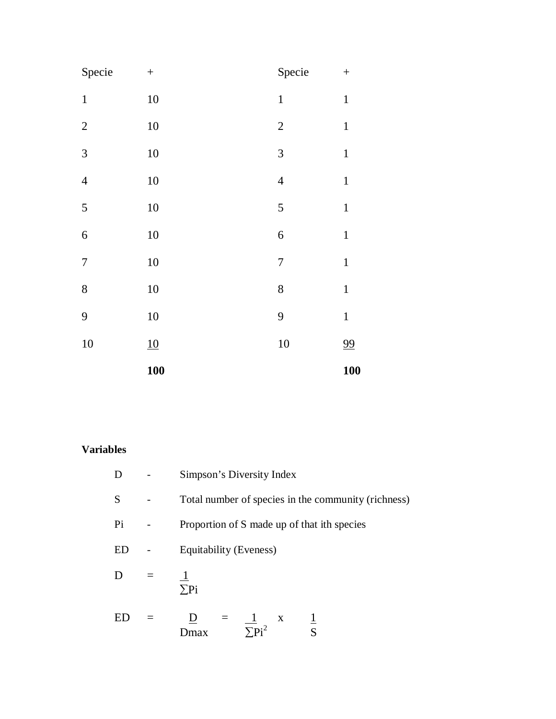|                  | <b>100</b> |                  | <b>100</b>   |
|------------------|------------|------------------|--------------|
| 10               | 10         | 10               | 99           |
| 9                | 10         | 9                | $\mathbf 1$  |
| 8                | $10\,$     | 8                | $\mathbf 1$  |
| $\sqrt{ }$       | 10         | $\boldsymbol{7}$ | $\mathbf 1$  |
| $\boldsymbol{6}$ | 10         | 6                | $\mathbf{1}$ |
| 5                | $10\,$     | 5                | $\mathbf{1}$ |
| $\overline{4}$   | 10         | $\overline{4}$   | $\mathbf 1$  |
| $\overline{3}$   | $10\,$     | $\mathfrak{Z}$   | $\mathbf 1$  |
| $\sqrt{2}$       | 10         | $\sqrt{2}$       | $\mathbf 1$  |
| $\,1\,$          | $10\,$     | $\mathbf{1}$     | $\mathbf 1$  |
| Specie           | $\! + \!$  | Specie           |              |

# **Variables**

| D      | Simpson's Diversity Index                                              |  |  |
|--------|------------------------------------------------------------------------|--|--|
| S      | Total number of species in the community (richness)                    |  |  |
| Pi     | Proportion of S made up of that ith species                            |  |  |
| ED     | Equitability (Eveness)                                                 |  |  |
| $\Box$ | $\Sigma$ Pi                                                            |  |  |
| ED.    | $\frac{D}{D} = \frac{1}{\sum P i^2}$<br>$\mathbf{X}$<br>$\overline{S}$ |  |  |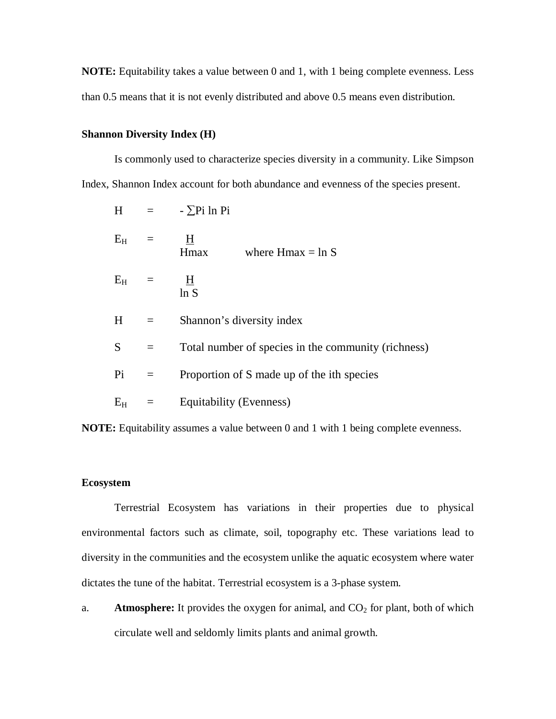**NOTE:** Equitability takes a value between 0 and 1, with 1 being complete evenness. Less than 0.5 means that it is not evenly distributed and above 0.5 means even distribution.

# **Shannon Diversity Index (H)**

Is commonly used to characterize species diversity in a community. Like Simpson Index, Shannon Index account for both abundance and evenness of the species present.

|               |         | $H = -\sum P_i \ln P_i$                             |  |
|---------------|---------|-----------------------------------------------------|--|
| $E_{H}$ =     |         | $\overline{H}$<br>Hmax<br>where $Hmax = ln S$       |  |
| $E_{H}$ =     |         | $\overline{H}$<br>ln S                              |  |
| H             | $=$     | Shannon's diversity index                           |  |
| $S_{\text{}}$ | $=$     | Total number of species in the community (richness) |  |
| Pi            | $=$     | Proportion of S made up of the ith species          |  |
| $\rm E_{H}$   | $=$ $-$ | Equitability (Evenness)                             |  |

**NOTE:** Equitability assumes a value between 0 and 1 with 1 being complete evenness.

#### **Ecosystem**

Terrestrial Ecosystem has variations in their properties due to physical environmental factors such as climate, soil, topography etc. These variations lead to diversity in the communities and the ecosystem unlike the aquatic ecosystem where water dictates the tune of the habitat. Terrestrial ecosystem is a 3-phase system.

a. **Atmosphere:** It provides the oxygen for animal, and  $CO<sub>2</sub>$  for plant, both of which circulate well and seldomly limits plants and animal growth.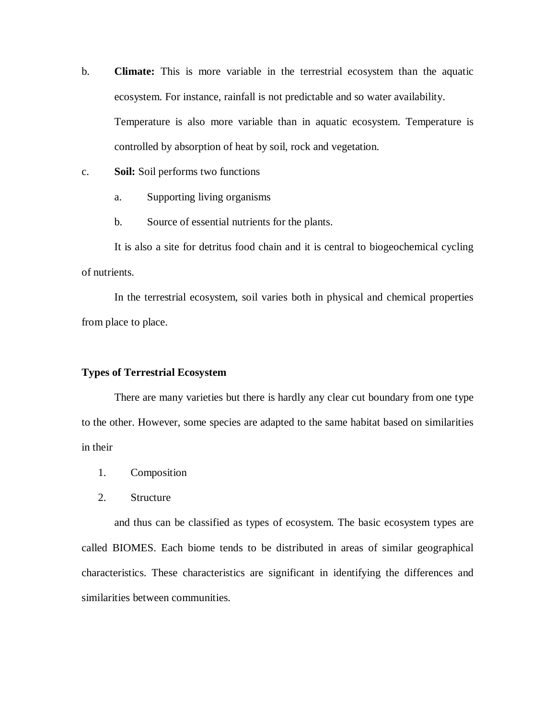- b. **Climate:** This is more variable in the terrestrial ecosystem than the aquatic ecosystem. For instance, rainfall is not predictable and so water availability. Temperature is also more variable than in aquatic ecosystem. Temperature is controlled by absorption of heat by soil, rock and vegetation.
- c. **Soil:** Soil performs two functions
	- a. Supporting living organisms
	- b. Source of essential nutrients for the plants.

It is also a site for detritus food chain and it is central to biogeochemical cycling of nutrients.

In the terrestrial ecosystem, soil varies both in physical and chemical properties from place to place.

#### **Types of Terrestrial Ecosystem**

There are many varieties but there is hardly any clear cut boundary from one type to the other. However, some species are adapted to the same habitat based on similarities in their

- 1. Composition
- 2. Structure

and thus can be classified as types of ecosystem. The basic ecosystem types are called BIOMES. Each biome tends to be distributed in areas of similar geographical characteristics. These characteristics are significant in identifying the differences and similarities between communities.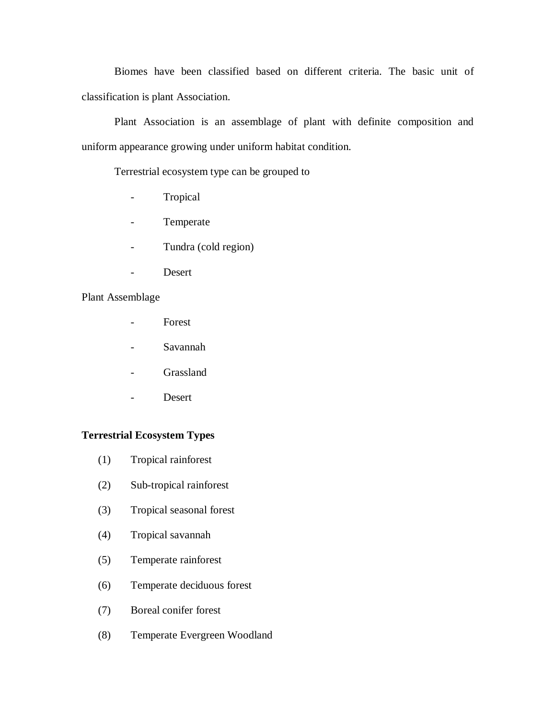Biomes have been classified based on different criteria. The basic unit of classification is plant Association.

Plant Association is an assemblage of plant with definite composition and uniform appearance growing under uniform habitat condition.

Terrestrial ecosystem type can be grouped to

- Tropical
- Temperate
- Tundra (cold region)
- Desert

# Plant Assemblage

- Forest
- Savannah
- Grassland
- Desert

# **Terrestrial Ecosystem Types**

- (1) Tropical rainforest
- (2) Sub-tropical rainforest
- (3) Tropical seasonal forest
- (4) Tropical savannah
- (5) Temperate rainforest
- (6) Temperate deciduous forest
- (7) Boreal conifer forest
- (8) Temperate Evergreen Woodland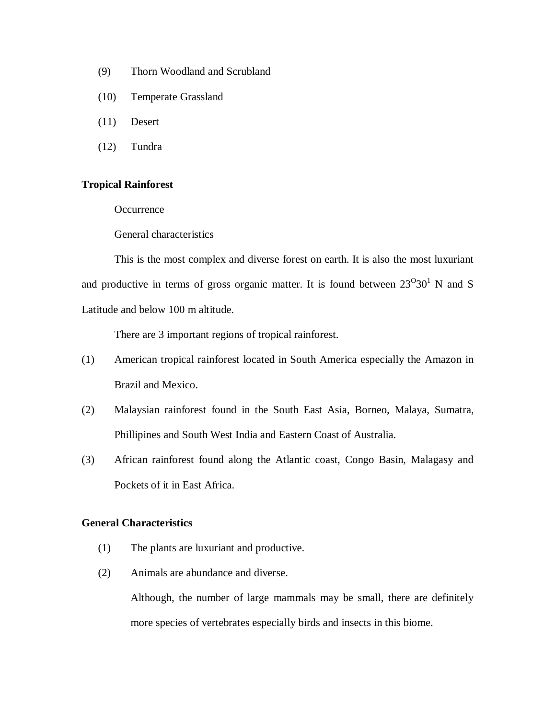- (9) Thorn Woodland and Scrubland
- (10) Temperate Grassland
- (11) Desert
- (12) Tundra

#### **Tropical Rainforest**

**Occurrence** 

General characteristics

This is the most complex and diverse forest on earth. It is also the most luxuriant and productive in terms of gross organic matter. It is found between  $23^{\circ}30^{\circ}$  N and S Latitude and below 100 m altitude.

There are 3 important regions of tropical rainforest.

- (1) American tropical rainforest located in South America especially the Amazon in Brazil and Mexico.
- (2) Malaysian rainforest found in the South East Asia, Borneo, Malaya, Sumatra, Phillipines and South West India and Eastern Coast of Australia.
- (3) African rainforest found along the Atlantic coast, Congo Basin, Malagasy and Pockets of it in East Africa.

# **General Characteristics**

- (1) The plants are luxuriant and productive.
- (2) Animals are abundance and diverse.

Although, the number of large mammals may be small, there are definitely more species of vertebrates especially birds and insects in this biome.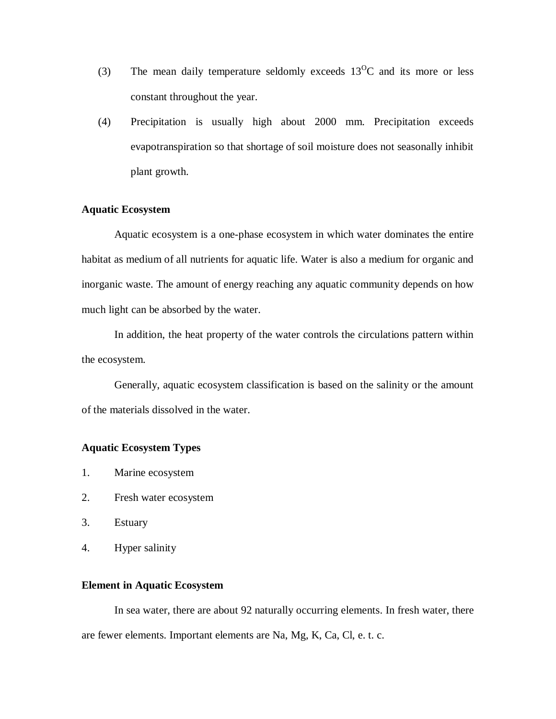- (3) The mean daily temperature seldomly exceeds  $13^{\circ}$ C and its more or less constant throughout the year.
- (4) Precipitation is usually high about 2000 mm. Precipitation exceeds evapotranspiration so that shortage of soil moisture does not seasonally inhibit plant growth.

# **Aquatic Ecosystem**

Aquatic ecosystem is a one-phase ecosystem in which water dominates the entire habitat as medium of all nutrients for aquatic life. Water is also a medium for organic and inorganic waste. The amount of energy reaching any aquatic community depends on how much light can be absorbed by the water.

In addition, the heat property of the water controls the circulations pattern within the ecosystem.

Generally, aquatic ecosystem classification is based on the salinity or the amount of the materials dissolved in the water.

# **Aquatic Ecosystem Types**

- 1. Marine ecosystem
- 2. Fresh water ecosystem
- 3. Estuary
- 4. Hyper salinity

### **Element in Aquatic Ecosystem**

In sea water, there are about 92 naturally occurring elements. In fresh water, there are fewer elements. Important elements are Na, Mg, K, Ca, Cl, e. t. c.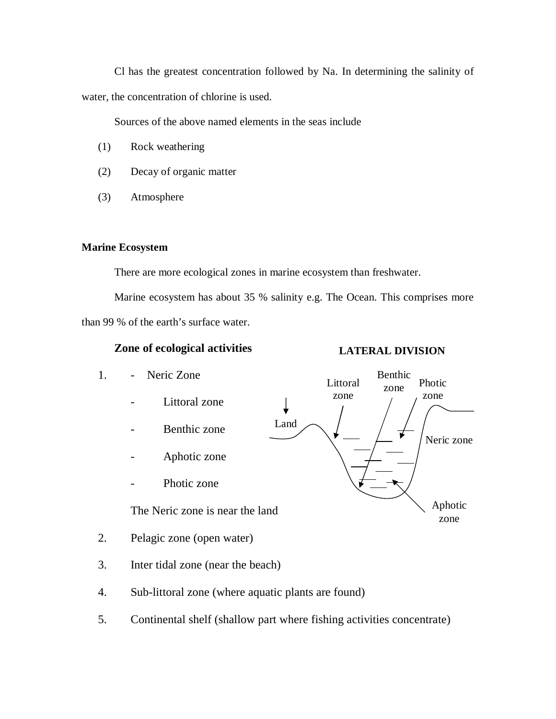Cl has the greatest concentration followed by Na. In determining the salinity of water, the concentration of chlorine is used.

Sources of the above named elements in the seas include

- (1) Rock weathering
- (2) Decay of organic matter
- (3) Atmosphere

# **Marine Ecosystem**

There are more ecological zones in marine ecosystem than freshwater.

Marine ecosystem has about 35 % salinity e.g. The Ocean. This comprises more than 99 % of the earth's surface water.

# **Zone of ecological activities**

# **LATERAL DIVISION**

- 1. Neric Zone Benthic Littoral zone Photic zone zone Littoral zone J Land - Benthic zone Neric zone - Aphotic zone Photic zone Aphotic The Neric zone is near the land zone 2. Pelagic zone (open water) 3. Inter tidal zone (near the beach)
- 4. Sub-littoral zone (where aquatic plants are found)
- 5. Continental shelf (shallow part where fishing activities concentrate)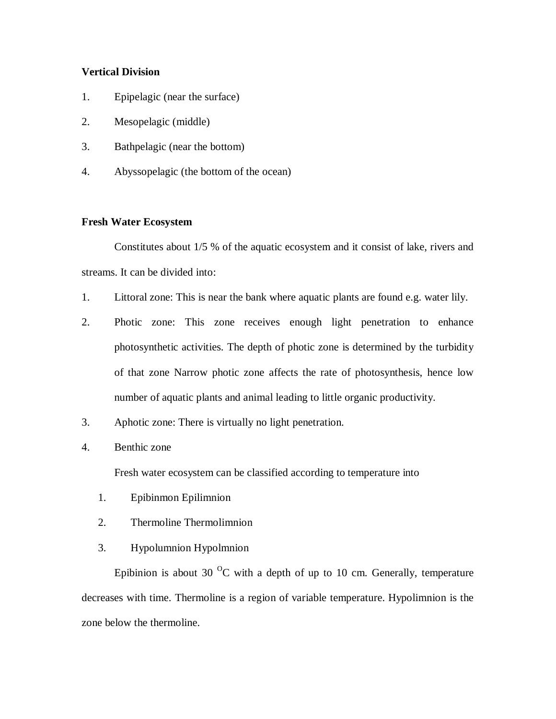# **Vertical Division**

- 1. Epipelagic (near the surface)
- 2. Mesopelagic (middle)
- 3. Bathpelagic (near the bottom)
- 4. Abyssopelagic (the bottom of the ocean)

### **Fresh Water Ecosystem**

Constitutes about 1/5 % of the aquatic ecosystem and it consist of lake, rivers and streams. It can be divided into:

- 1. Littoral zone: This is near the bank where aquatic plants are found e.g. water lily.
- 2. Photic zone: This zone receives enough light penetration to enhance photosynthetic activities. The depth of photic zone is determined by the turbidity of that zone Narrow photic zone affects the rate of photosynthesis, hence low number of aquatic plants and animal leading to little organic productivity.
- 3. Aphotic zone: There is virtually no light penetration.
- 4. Benthic zone

Fresh water ecosystem can be classified according to temperature into

- 1. Epibinmon Epilimnion
- 2. Thermoline Thermolimnion
- 3. Hypolumnion Hypolmnion

Epibinion is about 30  $^{0}$ C with a depth of up to 10 cm. Generally, temperature decreases with time. Thermoline is a region of variable temperature. Hypolimnion is the zone below the thermoline.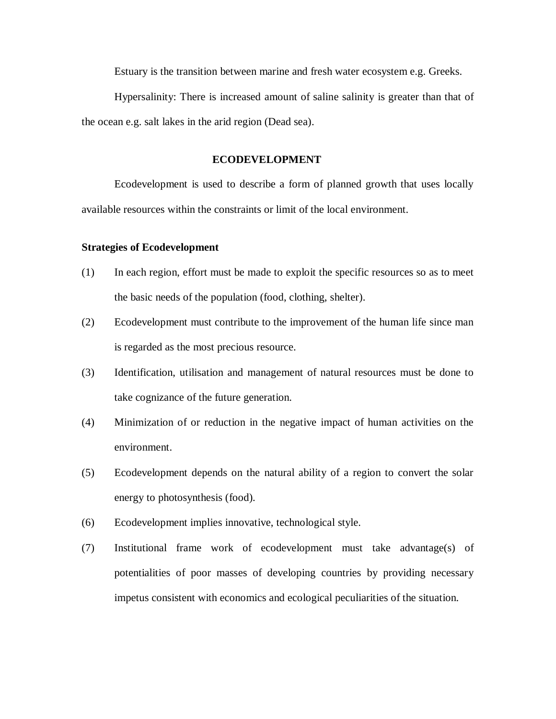Estuary is the transition between marine and fresh water ecosystem e.g. Greeks.

Hypersalinity: There is increased amount of saline salinity is greater than that of the ocean e.g. salt lakes in the arid region (Dead sea).

#### **ECODEVELOPMENT**

Ecodevelopment is used to describe a form of planned growth that uses locally available resources within the constraints or limit of the local environment.

#### **Strategies of Ecodevelopment**

- (1) In each region, effort must be made to exploit the specific resources so as to meet the basic needs of the population (food, clothing, shelter).
- (2) Ecodevelopment must contribute to the improvement of the human life since man is regarded as the most precious resource.
- (3) Identification, utilisation and management of natural resources must be done to take cognizance of the future generation.
- (4) Minimization of or reduction in the negative impact of human activities on the environment.
- (5) Ecodevelopment depends on the natural ability of a region to convert the solar energy to photosynthesis (food).
- (6) Ecodevelopment implies innovative, technological style.
- (7) Institutional frame work of ecodevelopment must take advantage(s) of potentialities of poor masses of developing countries by providing necessary impetus consistent with economics and ecological peculiarities of the situation.